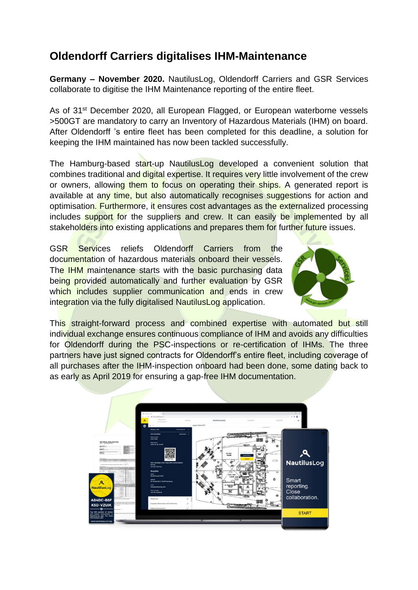## **Oldendorff Carriers digitalises IHM-Maintenance**

**Germany – November 2020.** NautilusLog, Oldendorff Carriers and GSR Services collaborate to digitise the IHM Maintenance reporting of the entire fleet.

As of 31<sup>st</sup> December 2020, all European Flagged, or European waterborne vessels >500GT are mandatory to carry an Inventory of Hazardous Materials (IHM) on board. After Oldendorff 's entire fleet has been completed for this deadline, a solution for keeping the IHM maintained has now been tackled successfully.

The Hamburg-based start-up NautilusLog developed a convenient solution that combines traditional and digital expertise. It requires very little involvement of the crew or owners, allowing them to focus on operating their ships. A generated report is available at any time, but also automatically recognises suggestions for action and optimisation. Furthermore, it ensures cost advantages as the externalized processing includes support for the suppliers and crew. It can easily be implemented by all stakeholders into existing applications and prepares them for further future issues.

GSR Services reliefs Oldendorff Carriers from the documentation of hazardous materials onboard their vessels. The IHM maintenance starts with the basic purchasing data being provided automatically and further evaluation by GSR which includes supplier communication and ends in crew integration via the fully digitalised NautilusLog application.



This straight-forward process and combined expertise with automated but still individual exchange ensures continuous compliance of IHM and avoids any difficulties for Oldendorff during the PSC-inspections or re-certification of IHMs. The three partners have just signed contracts for Oldendorff's entire fleet, including coverage of all purchases after the IHM-inspection onboard had been done, some dating back to as early as April 2019 for ensuring a gap-free IHM documentation.

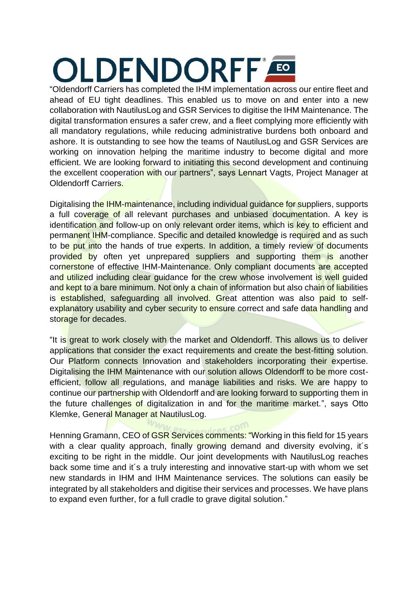# OLDENDORFF<sup>®</sup>

"Oldendorff Carriers has completed the IHM implementation across our entire fleet and ahead of EU tight deadlines. This enabled us to move on and enter into a new collaboration with NautilusLog and GSR Services to digitise the IHM Maintenance. The digital transformation ensures a safer crew, and a fleet complying more efficiently with all mandatory regulations, while reducing administrative burdens both onboard and ashore. It is outstanding to see how the teams of NautilusLog and GSR Services are working on innovation helping the maritime industry to become digital and more efficient. We are looking forward to initiating this second development and continuing the excellent cooperation with our partners", says Lennart Vagts, Project Manager at Oldendorff Carriers.

Digitalising the IHM-maintenance, including individual guidance for suppliers, supports a full coverage of all relevant purchases and unbiased documentation. A key is identification and follow-up on only relevant order items, which is key to efficient and permanent IHM-compliance. Specific and detailed knowledge is required and as such to be put into the hands of true experts. In addition, a timely review of documents provided by often yet unprepared suppliers and supporting them is another cornerstone of effective IHM-Maintenance. Only compliant documents are accepted and utilized including clear guidance for the crew whose involvement is well guided and kept to a bare minimum. Not only a chain of information but also chain of liabilities is established, safeguarding all involved. Great attention was also paid to selfexplanatory usability and cyber security to ensure correct and safe data handling and storage for decades.

"It is great to work closely with the market and Oldendorff. This allows us to deliver applications that consider the exact requirements and create the best-fitting solution. Our Platform connects Innovation and stakeholders incorporating their expertise. Digitalising the IHM Maintenance with our solution allows Oldendorff to be more costefficient, follow all regulations, and manage liabilities and risks. We are happy to continue our partnership with Oldendorff and are looking forward to supporting them in the future challenges of digitalization in and for the maritime market.", says Otto Klemke, General Manager at NautilusLog.

Henning Gramann, CEO of GSR Services comments: "Working in this field for 15 years with a clear quality approach, finally growing demand and diversity evolving, it's exciting to be right in the middle. Our joint developments with NautilusLog reaches back some time and it´s a truly interesting and innovative start-up with whom we set new standards in IHM and IHM Maintenance services. The solutions can easily be integrated by all stakeholders and digitise their services and processes. We have plans to expand even further, for a full cradle to grave digital solution."